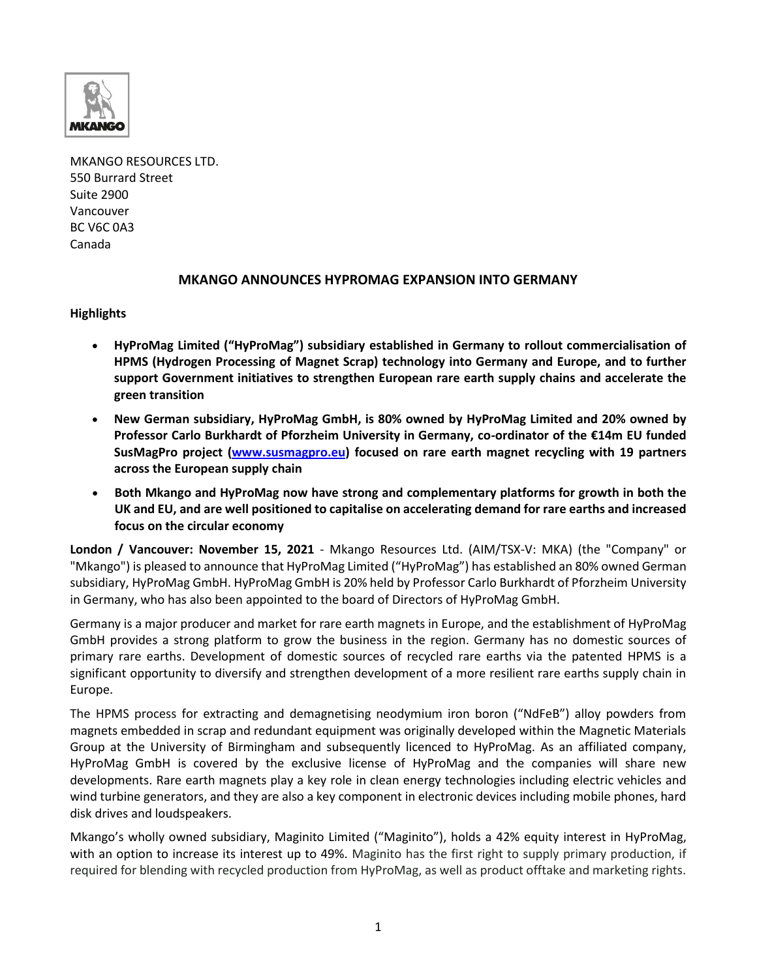

MKANGO RESOURCES LTD. 550 Burrard Street Suite 2900 Vancouver BC V6C 0A3 Canada

# **MKANGO ANNOUNCES HYPROMAG EXPANSION INTO GERMANY**

# **Highlights**

- **HyProMag Limited ("HyProMag") subsidiary established in Germany to rollout commercialisation of HPMS (Hydrogen Processing of Magnet Scrap) technology into Germany and Europe, and to further support Government initiatives to strengthen European rare earth supply chains and accelerate the green transition**
- **New German subsidiary, HyProMag GmbH, is 80% owned by HyProMag Limited and 20% owned by Professor Carlo Burkhardt of Pforzheim University in Germany, co-ordinator of the €14m EU funded SusMagPro project [\(www.susmagpro.eu\)](http://www.susmagpro.eu/) focused on rare earth magnet recycling with 19 partners across the European supply chain**
- **Both Mkango and HyProMag now have strong and complementary platforms for growth in both the UK and EU, and are well positioned to capitalise on accelerating demand for rare earths and increased focus on the circular economy**

**London / Vancouver: November 15, 2021** - Mkango Resources Ltd. (AIM/TSX-V: MKA) (the "Company" or "Mkango") is pleased to announce that HyProMag Limited ("HyProMag") has established an 80% owned German subsidiary, HyProMag GmbH. HyProMag GmbH is 20% held by Professor Carlo Burkhardt of Pforzheim University in Germany, who has also been appointed to the board of Directors of HyProMag GmbH.

Germany is a major producer and market for rare earth magnets in Europe, and the establishment of HyProMag GmbH provides a strong platform to grow the business in the region. Germany has no domestic sources of primary rare earths. Development of domestic sources of recycled rare earths via the patented HPMS is a significant opportunity to diversify and strengthen development of a more resilient rare earths supply chain in Europe.

The HPMS process for extracting and demagnetising neodymium iron boron ("NdFeB") alloy powders from magnets embedded in scrap and redundant equipment was originally developed within the Magnetic Materials Group at the University of Birmingham and subsequently licenced to HyProMag. As an affiliated company, HyProMag GmbH is covered by the exclusive license of HyProMag and the companies will share new developments. Rare earth magnets play a key role in clean energy technologies including electric vehicles and wind turbine generators, and they are also a key component in electronic devices including mobile phones, hard disk drives and loudspeakers.

Mkango's wholly owned subsidiary, Maginito Limited ("Maginito"), holds a 42% equity interest in HyProMag, with an option to increase its interest up to 49%. Maginito has the first right to supply primary production, if required for blending with recycled production from HyProMag, as well as product offtake and marketing rights.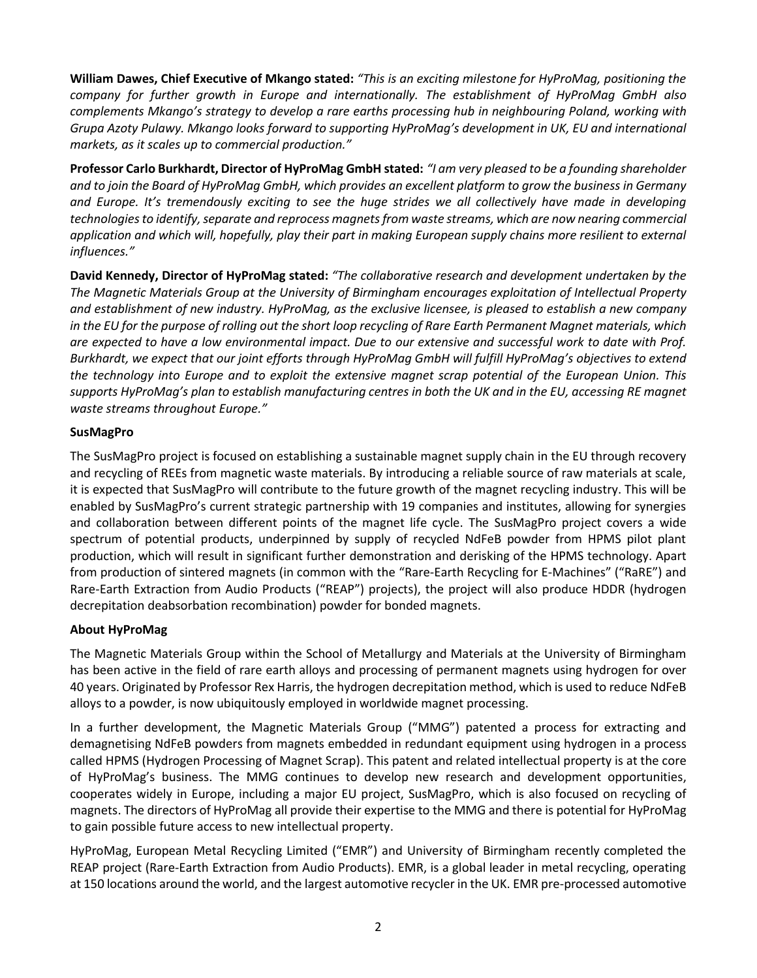**William Dawes, Chief Executive of Mkango stated:** *"This is an exciting milestone for HyProMag, positioning the company for further growth in Europe and internationally. The establishment of HyProMag GmbH also complements Mkango's strategy to develop a rare earths processing hub in neighbouring Poland, working with Grupa Azoty Pulawy. Mkango looks forward to supporting HyProMag's development in UK, EU and international markets, as it scales up to commercial production."*

**Professor Carlo Burkhardt, Director of HyProMag GmbH stated:** *"I am very pleased to be a founding shareholder and to join the Board of HyProMag GmbH, which provides an excellent platform to grow the business in Germany and Europe. It's tremendously exciting to see the huge strides we all collectively have made in developing technologies to identify, separate and reprocess magnets from waste streams, which are now nearing commercial application and which will, hopefully, play their part in making European supply chains more resilient to external influences."*

**David Kennedy, Director of HyProMag stated:** *"The collaborative research and development undertaken by the The Magnetic Materials Group at the University of Birmingham encourages exploitation of Intellectual Property and establishment of new industry. HyProMag, as the exclusive licensee, is pleased to establish a new company in the EU for the purpose of rolling out the short loop recycling of Rare Earth Permanent Magnet materials, which are expected to have a low environmental impact. Due to our extensive and successful work to date with Prof. Burkhardt, we expect that our joint efforts through HyProMag GmbH will fulfill HyProMag's objectives to extend the technology into Europe and to exploit the extensive magnet scrap potential of the European Union. This supports HyProMag's plan to establish manufacturing centres in both the UK and in the EU, accessing RE magnet waste streams throughout Europe."*

### **SusMagPro**

The SusMagPro project is focused on establishing a sustainable magnet supply chain in the EU through recovery and recycling of REEs from magnetic waste materials. By introducing a reliable source of raw materials at scale, it is expected that SusMagPro will contribute to the future growth of the magnet recycling industry. This will be enabled by SusMagPro's current strategic partnership with 19 companies and institutes, allowing for synergies and collaboration between different points of the magnet life cycle. The SusMagPro project covers a wide spectrum of potential products, underpinned by supply of recycled NdFeB powder from HPMS pilot plant production, which will result in significant further demonstration and derisking of the HPMS technology. Apart from production of sintered magnets (in common with the "Rare-Earth Recycling for E-Machines" ("RaRE") and Rare-Earth Extraction from Audio Products ("REAP") projects), the project will also produce HDDR (hydrogen decrepitation deabsorbation recombination) powder for bonded magnets.

# **About HyProMag**

The Magnetic Materials Group within the School of Metallurgy and Materials at the University of Birmingham has been active in the field of rare earth alloys and processing of permanent magnets using hydrogen for over 40 years. Originated by Professor Rex Harris, the hydrogen decrepitation method, which is used to reduce NdFeB alloys to a powder, is now ubiquitously employed in worldwide magnet processing.

In a further development, the Magnetic Materials Group ("MMG") patented a process for extracting and demagnetising NdFeB powders from magnets embedded in redundant equipment using hydrogen in a process called HPMS (Hydrogen Processing of Magnet Scrap). This patent and related intellectual property is at the core of HyProMag's business. The MMG continues to develop new research and development opportunities, cooperates widely in Europe, including a major EU project, SusMagPro, which is also focused on recycling of magnets. The directors of HyProMag all provide their expertise to the MMG and there is potential for HyProMag to gain possible future access to new intellectual property.

HyProMag, European Metal Recycling Limited ("EMR") and University of Birmingham recently completed the REAP project (Rare-Earth Extraction from Audio Products). EMR, is a global leader in metal recycling, operating at 150 locations around the world, and the largest automotive recycler in the UK. EMR pre-processed automotive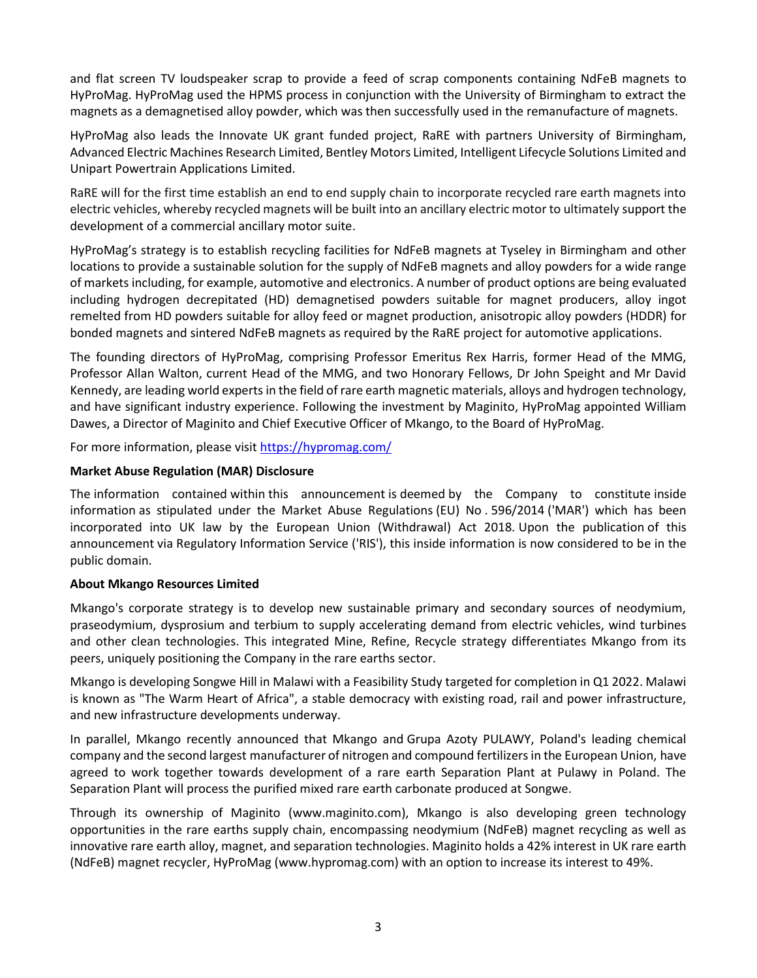and flat screen TV loudspeaker scrap to provide a feed of scrap components containing NdFeB magnets to HyProMag. HyProMag used the HPMS process in conjunction with the University of Birmingham to extract the magnets as a demagnetised alloy powder, which was then successfully used in the remanufacture of magnets.

HyProMag also leads the Innovate UK grant funded project, RaRE with partners University of Birmingham, Advanced Electric Machines Research Limited, Bentley Motors Limited, Intelligent Lifecycle Solutions Limited and Unipart Powertrain Applications Limited.

RaRE will for the first time establish an end to end supply chain to incorporate recycled rare earth magnets into electric vehicles, whereby recycled magnets will be built into an ancillary electric motor to ultimately support the development of a commercial ancillary motor suite.

HyProMag's strategy is to establish recycling facilities for NdFeB magnets at Tyseley in Birmingham and other locations to provide a sustainable solution for the supply of NdFeB magnets and alloy powders for a wide range of markets including, for example, automotive and electronics. A number of product options are being evaluated including hydrogen decrepitated (HD) demagnetised powders suitable for magnet producers, alloy ingot remelted from HD powders suitable for alloy feed or magnet production, anisotropic alloy powders (HDDR) for bonded magnets and sintered NdFeB magnets as required by the RaRE project for automotive applications.

The founding directors of HyProMag, comprising Professor Emeritus Rex Harris, former Head of the MMG, Professor Allan Walton, current Head of the MMG, and two Honorary Fellows, Dr John Speight and Mr David Kennedy, are leading world experts in the field of rare earth magnetic materials, alloys and hydrogen technology, and have significant industry experience. Following the investment by Maginito, HyProMag appointed William Dawes, a Director of Maginito and Chief Executive Officer of Mkango, to the Board of HyProMag.

For more information, please visit [https://hypromag.com/](about:blank)

### **Market Abuse Regulation (MAR) Disclosure**

The information contained within this announcement is deemed by the Company to constitute inside information as stipulated under the Market Abuse Regulations (EU) No . 596/2014 ('MAR') which has been incorporated into UK law by the European Union (Withdrawal) Act 2018. Upon the publication of this announcement via Regulatory Information Service ('RIS'), this inside information is now considered to be in the public domain.

### **About Mkango Resources Limited**

Mkango's corporate strategy is to develop new sustainable primary and secondary sources of neodymium, praseodymium, dysprosium and terbium to supply accelerating demand from electric vehicles, wind turbines and other clean technologies. This integrated Mine, Refine, Recycle strategy differentiates Mkango from its peers, uniquely positioning the Company in the rare earths sector.

Mkango is developing Songwe Hill in Malawi with a Feasibility Study targeted for completion in Q1 2022. Malawi is known as "The Warm Heart of Africa", a stable democracy with existing road, rail and power infrastructure, and new infrastructure developments underway.

In parallel, Mkango recently announced that Mkango and Grupa Azoty PULAWY, Poland's leading chemical company and the second largest manufacturer of nitrogen and compound fertilizers in the European Union, have agreed to work together towards development of a rare earth Separation Plant at Pulawy in Poland. The Separation Plant will process the purified mixed rare earth carbonate produced at Songwe.

Through its ownership of Maginito [\(www.maginito.com\)](http://www.maginito.com/), Mkango is also developing green technology opportunities in the rare earths supply chain, encompassing neodymium (NdFeB) magnet recycling as well as innovative rare earth alloy, magnet, and separation technologies. Maginito holds a 42% interest in UK rare earth (NdFeB) magnet recycler, HyProMag [\(www.hypromag.com\)](http://www.hypromag.com/) with an option to increase its interest to 49%.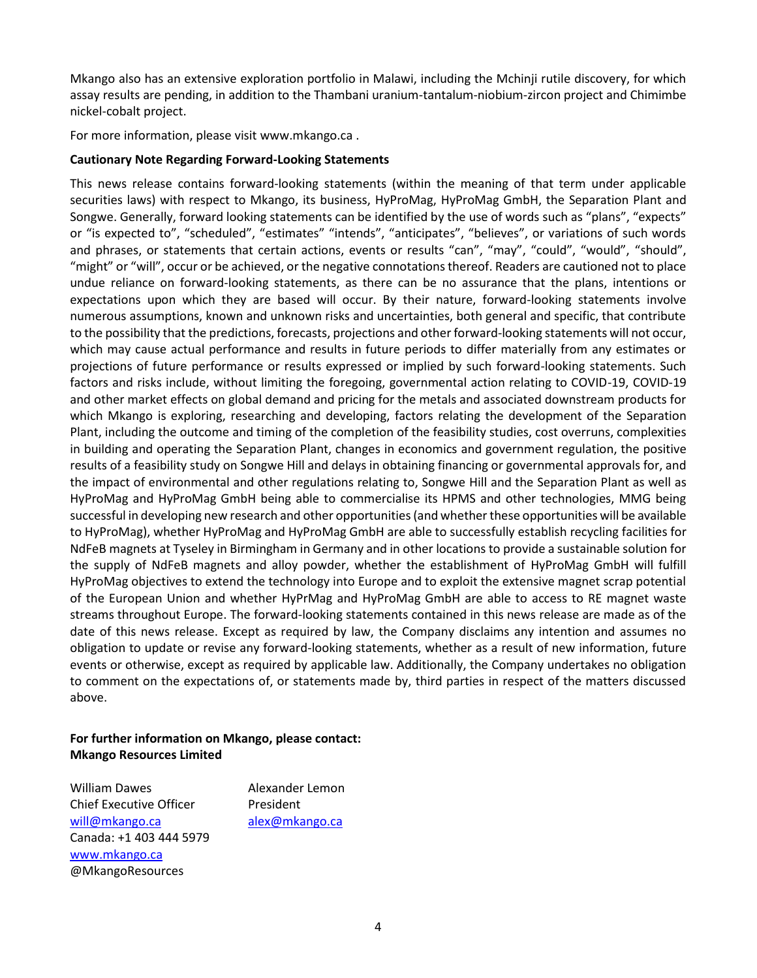Mkango also has an extensive exploration portfolio in Malawi, including the Mchinji rutile discovery, for which assay results are pending, in addition to the Thambani uranium-tantalum-niobium-zircon project and Chimimbe nickel-cobalt project.

For more information, please visit www.mkango.ca .

#### **Cautionary Note Regarding Forward-Looking Statements**

This news release contains forward-looking statements (within the meaning of that term under applicable securities laws) with respect to Mkango, its business, HyProMag, HyProMag GmbH, the Separation Plant and Songwe. Generally, forward looking statements can be identified by the use of words such as "plans", "expects" or "is expected to", "scheduled", "estimates" "intends", "anticipates", "believes", or variations of such words and phrases, or statements that certain actions, events or results "can", "may", "could", "would", "should", "might" or "will", occur or be achieved, or the negative connotations thereof. Readers are cautioned not to place undue reliance on forward-looking statements, as there can be no assurance that the plans, intentions or expectations upon which they are based will occur. By their nature, forward-looking statements involve numerous assumptions, known and unknown risks and uncertainties, both general and specific, that contribute to the possibility that the predictions, forecasts, projections and other forward-looking statements will not occur, which may cause actual performance and results in future periods to differ materially from any estimates or projections of future performance or results expressed or implied by such forward-looking statements. Such factors and risks include, without limiting the foregoing, governmental action relating to COVID-19, COVID-19 and other market effects on global demand and pricing for the metals and associated downstream products for which Mkango is exploring, researching and developing, factors relating the development of the Separation Plant, including the outcome and timing of the completion of the feasibility studies, cost overruns, complexities in building and operating the Separation Plant, changes in economics and government regulation, the positive results of a feasibility study on Songwe Hill and delays in obtaining financing or governmental approvals for, and the impact of environmental and other regulations relating to, Songwe Hill and the Separation Plant as well as HyProMag and HyProMag GmbH being able to commercialise its HPMS and other technologies, MMG being successful in developing new research and other opportunities (and whether these opportunities will be available to HyProMag), whether HyProMag and HyProMag GmbH are able to successfully establish recycling facilities for NdFeB magnets at Tyseley in Birmingham in Germany and in other locations to provide a sustainable solution for the supply of NdFeB magnets and alloy powder, whether the establishment of HyProMag GmbH will fulfill HyProMag objectives to extend the technology into Europe and to exploit the extensive magnet scrap potential of the European Union and whether HyPrMag and HyProMag GmbH are able to access to RE magnet waste streams throughout Europe. The forward-looking statements contained in this news release are made as of the date of this news release. Except as required by law, the Company disclaims any intention and assumes no obligation to update or revise any forward-looking statements, whether as a result of new information, future events or otherwise, except as required by applicable law. Additionally, the Company undertakes no obligation to comment on the expectations of, or statements made by, third parties in respect of the matters discussed above.

# **For further information on Mkango, please contact: Mkango Resources Limited**

William Dawes **Alexander Lemon** Chief Executive Officer President will@mkango.ca alex@mkango.ca Canada: +1 403 444 5979 [www.mkango.ca](http://www.mkango.ca/) @MkangoResources